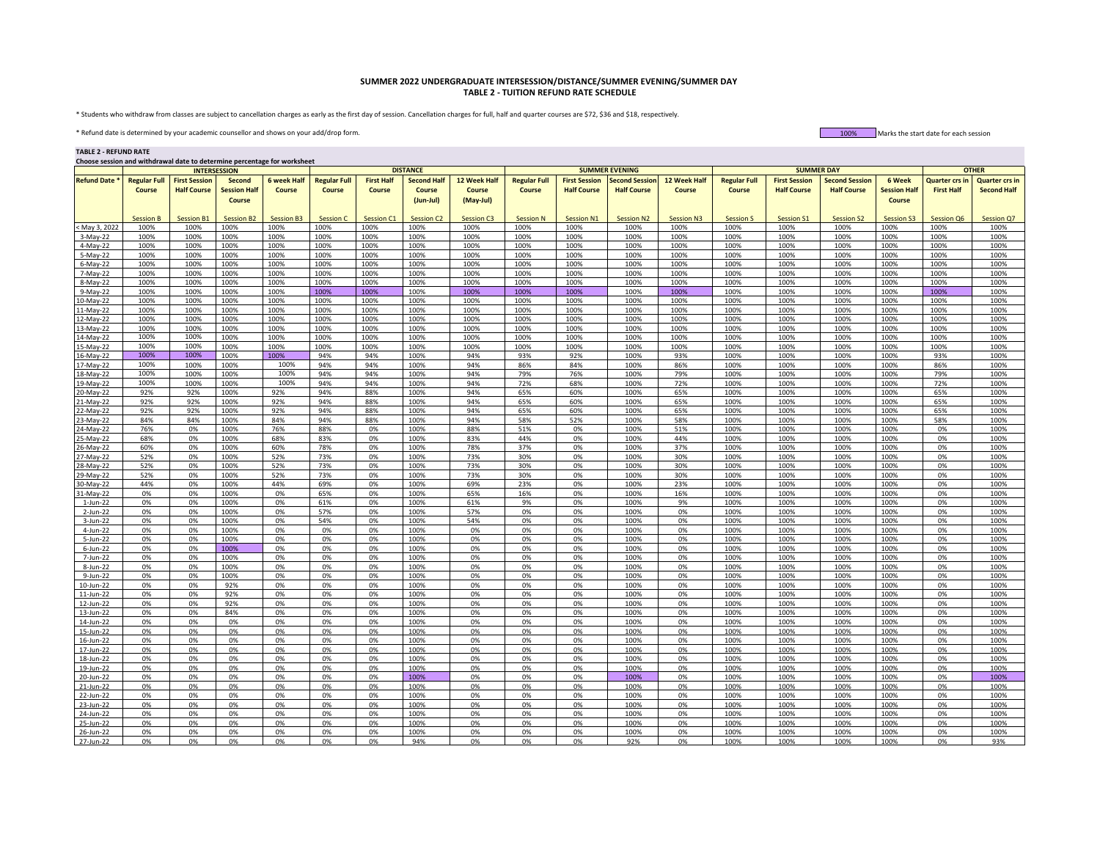## **SUMMER 2022 UNDERGRADUATE INTERSESSION/DISTANCE/SUMMER EVENING/SUMMER DAY TABLE 2 - TUITION REFUND RATE SCHEDULE**

\* Students who withdraw from classes are subject to cancellation charges as early as the first day of session. Cancellation charges for full, half and quarter courses are \$72, \$36 and \$18, respectively.

\* Refund date is determined by your academic counsellor and shows on your add/drop form. 100% Marks the start date for each session

**TABLE 2 - REFUND RATE**

**Choose session and withdrawal date to determine percentage for worksheet**

|                      |                     | <b>INTERSESSION</b>  |                     |                    |                     |                   | <b>DISTANCE</b>    |               |                     |                      | <b>SUMMER EVENING</b> |                   |                     | <b>SUMMER DAY</b>    |                       |                     | <b>OTHER</b>          |                       |
|----------------------|---------------------|----------------------|---------------------|--------------------|---------------------|-------------------|--------------------|---------------|---------------------|----------------------|-----------------------|-------------------|---------------------|----------------------|-----------------------|---------------------|-----------------------|-----------------------|
| <b>Refund Date *</b> | <b>Regular Full</b> | <b>First Session</b> | <b>Second</b>       | <b>6 week Half</b> | <b>Regular Full</b> | <b>First Half</b> | <b>Second Half</b> | 12 Week Half  | <b>Regular Full</b> | <b>First Session</b> | <b>Second Session</b> | 12 Week Half      | <b>Regular Full</b> | <b>First Session</b> | <b>Second Session</b> | 6 Week              | <b>Quarter crs in</b> | <b>Quarter crs in</b> |
|                      | Course              | <b>Half Course</b>   | <b>Session Half</b> | Course             | Course              | Course            | Course             | <b>Course</b> | Course              | <b>Half Course</b>   | <b>Half Course</b>    | Course            | Course              | <b>Half Course</b>   | <b>Half Course</b>    | <b>Session Half</b> | <b>First Half</b>     | <b>Second Half</b>    |
|                      |                     |                      |                     |                    |                     |                   |                    |               |                     |                      |                       |                   |                     |                      |                       |                     |                       |                       |
|                      |                     |                      | <b>Course</b>       |                    |                     |                   | (Jun-Jul)          | (May-Jul)     |                     |                      |                       |                   |                     |                      |                       | <b>Course</b>       |                       |                       |
|                      |                     |                      |                     |                    |                     |                   |                    |               |                     |                      |                       |                   |                     |                      |                       |                     |                       |                       |
|                      | <b>Session B</b>    | Session B1           | <b>Session B2</b>   | <b>Session B3</b>  | Session C           | Session C1        | <b>Session C2</b>  | Session C3    | <b>Session N</b>    | Session N1           | <b>Session N2</b>     | <b>Session N3</b> | <b>Session S</b>    | <b>Session S1</b>    | <b>Session S2</b>     | <b>Session S3</b>   | Session Q6            | Session Q7            |
| May 3, 2022          | 100%                | 100%                 | 100%                | 100%               | 100%                | 100%              | 100%               | 100%          | 100%                | 100%                 | 100%                  | 100%              | 100%                | 100%                 | 100%                  | 100%                | 100%                  | 100%                  |
| $3-May-22$           | 100%                | 100%                 | 100%                | 100%               | 100%                | 100%              | 100%               | 100%          | 100%                | 100%                 | 100%                  | 100%              | 100%                | 100%                 | 100%                  | 100%                | 100%                  | 100%                  |
| $4-May-22$           | 100%                | 100%                 | 100%                | 100%               | 100%                | 100%              | 100%               | 100%          | 100%                | 100%                 | 100%                  | 100%              | 100%                | 100%                 | 100%                  | 100%                | 100%                  | 100%                  |
| 5-May-22             | 100%                | 100%                 | 100%                | 100%               | 100%                | 100%              | 100%               | 100%          | 100%                | 100%                 | 100%                  | 100%              | 100%                | 100%                 | 100%                  | 100%                | 100%                  | 100%                  |
| $6$ -May-22          | 100%                | 100%                 | 100%                | 100%               | 100%                | 100%              | 100%               | 100%          | 100%                | 100%                 | 100%                  | 100%              | 100%                | 100%                 | 100%                  | 100%                | 100%                  | 100%                  |
| 7-May-22             | 100%                | 100%                 | 100%                | 100%               | 100%                | 100%              | 100%               | 100%          | 100%                | 100%                 | 100%                  | 100%              | 100%                | 100%                 | 100%                  | 100%                | 100%                  | 100%                  |
| 8-May-22             | 100%                | 100%                 | 100%                | 100%               | 100%                | 100%              | 100%               | 100%          | 100%                | 100%                 | 100%                  | 100%              | 100%                | 100%                 | 100%                  | 100%                | 100%                  | 100%                  |
| $9-May-22$           | 100%                | 100%                 | 100%                | 100%               | 100%                | 100%              | 100%               | 100%          | 100%                | 100%                 | 100%                  | 100%              | 100%                | 100%                 | 100%                  | 100%                | 100%                  | 100%                  |
| L0-May-22            | 100%                | 100%                 | 100%                | 100%               | 100%                | 100%              | 100%               | 100%          | 100%                | 100%                 | 100%                  | 100%              | 100%                | 100%                 | 100%                  | 100%                | 100%                  | 100%                  |
| 11-May-22            | 100%                | 100%                 | 100%                | 100%               | 100%                | 100%              | 100%               | 100%          | 100%                | 100%                 | 100%                  | 100%              | 100%                | 100%                 | 100%                  | 100%                | 100%                  | 100%                  |
| 2-May-22             | 100%                | 100%                 | 100%                | 100%               | 100%                | 100%              | 100%               | 100%          | 100%                | 100%                 | 100%                  | 100%              | 100%                | 100%                 | 100%                  | 100%                | 100%                  | 100%                  |
| 3-May-22             | 100%                | 100%                 | 100%                | 100%               | 100%                | 100%              | 100%               | 100%          | 100%                | 100%                 | 100%                  | 100%              | 100%                | 100%                 | 100%                  | 100%                | 100%                  | 100%                  |
| 14-May-22            | 100%                | 100%                 | 100%                | 100%               | 100%                | 100%              | 100%               | 100%          | 100%                | 100%                 | 100%                  | 100%              | 100%                | 100%                 | 100%                  | 100%                | 100%                  | 100%                  |
| 15-May-22            | 100%                | 100%                 | 100%                | 100%               | 100%                | 100%              | 100%               | 100%          | 100%                | 100%                 | 100%                  | 100%              | 100%                | 100%                 | 100%                  | 100%                | 100%                  | 100%                  |
| 16-May-22            | 100%                | 100%                 | 100%                | 100%               | 94%                 | 94%               | 100%               | 94%           | 93%                 | 92%                  | 100%                  | 93%               | 100%                | 100%                 | 100%                  | 100%                | 93%                   | 100%                  |
| 17-May-22            | 100%                | 100%                 | 100%                | 100%               | 94%                 | 94%               | 100%               | 94%           | 86%                 | 84%                  | 100%                  | 86%               | 100%                | 100%                 | 100%                  | 100%                | 86%                   | 100%                  |
| 18-May-22            | 100%                | 100%                 | 100%                | 100%               | 94%                 | 94%               | 100%               | 94%           | 79%                 | 76%                  | 100%                  | 79%               | 100%                | 100%                 | 100%                  | 100%                | 79%                   | 100%                  |
| 19-May-22            | 100%                | 100%                 | 100%                | 100%               | 94%                 | 94%               | 100%               | 94%           | 72%                 | 68%                  | 100%                  | 72%               | 100%                | 100%                 | 100%                  | 100%                | 72%                   | 100%                  |
|                      |                     |                      |                     | 92%                |                     | 88%               |                    | 94%           | 65%                 |                      |                       | 65%               |                     |                      |                       | 100%                | 65%                   |                       |
| 20-May-22            | 92%<br>92%          | 92%<br>92%           | 100%<br>100%        | 92%                | 94%<br>94%          | 88%               | 100%<br>100%       | 94%           | 65%                 | 60%<br>60%           | 100%<br>100%          | 65%               | 100%<br>100%        | 100%<br>100%         | 100%<br>100%          | 100%                | 65%                   | 100%<br>100%          |
| 21-May-22            |                     |                      |                     |                    |                     |                   |                    |               |                     |                      |                       |                   |                     |                      |                       |                     |                       |                       |
| 2-May-22             | 92%                 | 92%                  | 100%                | 92%                | 94%                 | 88%               | 100%               | 94%           | 65%                 | 60%                  | 100%                  | 65%               | 100%                | 100%                 | 100%                  | 100%                | 65%                   | 100%                  |
| 3-May-22             | 84%                 | 84%                  | 100%                | 84%                | 94%                 | 88%               | 100%               | 94%           | 58%                 | 52%                  | 100%                  | 58%               | 100%                | 100%                 | 100%                  | 100%                | 58%                   | 100%                  |
| 4-May-22             | 76%                 | 0%                   | 100%                | 76%                | 88%                 | 0%                | 100%               | 88%           | 51%                 | 0%                   | 100%                  | 51%               | 100%                | 100%                 | 100%                  | 100%                | 0%                    | 100%                  |
| 25-May-22            | 68%                 | 0%                   | 100%                | 68%                | 83%                 | 0%                | 100%               | 83%           | 44%                 | 0%                   | 100%                  | 44%               | 100%                | 100%                 | 100%                  | 100%                | 0%                    | 100%                  |
| 26-May-22            | 60%                 | 0%                   | 100%                | 60%                | 78%                 | 0%                | 100%               | 78%           | 37%                 | 0%                   | 100%                  | 37%               | 100%                | 100%                 | 100%                  | 100%                | 0%                    | 100%                  |
| 7-May-22             | 52%                 | 0%                   | 100%                | 52%                | 73%                 | 0%                | 100%               | 73%           | 30%                 | 0%                   | 100%                  | 30%               | 100%                | 100%                 | 100%                  | 100%                | 0%                    | 100%                  |
| 8-May-22             | 52%                 | 0%                   | 100%                | 52%                | 73%                 | 0%                | 100%               | 73%           | 30%                 | 0%                   | 100%                  | 30%               | 100%                | 100%                 | 100%                  | 100%                | 0%                    | 100%                  |
| 29-May-22            | 52%                 | 0%                   | 100%                | 52%                | 73%                 | 0%                | 100%               | 73%           | 30%                 | 0%                   | 100%                  | 30%               | 100%                | 100%                 | 100%                  | 100%                | 0%                    | 100%                  |
| 30-May-22            | 44%                 | 0%                   | 100%                | 44%                | 69%                 | 0%                | 100%               | 69%           | 23%                 | 0%                   | 100%                  | 23%               | 100%                | 100%                 | 100%                  | 100%                | 0%                    | 100%                  |
| $1-May-22$           | 0%                  | 0%                   | 100%                | 0%                 | 65%                 | 0%                | 100%               | 65%           | 16%                 | 0%                   | 100%                  | 16%               | 100%                | 100%                 | 100%                  | 100%                | 0%                    | 100%                  |
| 1-Jun-22             | 0%                  | 0%                   | 100%                | 0%                 | 61%                 | 0%                | 100%               | 61%           | 9%                  | 0%                   | 100%                  | 9%                | 100%                | 100%                 | 100%                  | 100%                | 0%                    | 100%                  |
| 2-Jun-22             | 0%                  | 0%                   | 100%                | 0%                 | 57%                 | 0%                | 100%               | 57%           | 0%                  | 0%                   | 100%                  | 0%                | 100%                | 100%                 | 100%                  | 100%                | 0%                    | 100%                  |
| 3-Jun-22             | 0%                  | 0%                   | 100%                | 0%                 | 54%                 | 0%                | 100%               | 54%           | 0%                  | 0%                   | 100%                  | 0%                | 100%                | 100%                 | 100%                  | 100%                | 0%                    | 100%                  |
| $4$ -Jun-22          | 0%                  | 0%                   | 100%                | 0%                 | 0%                  | 0%                | 100%               | 0%            | 0%                  | 0%                   | 100%                  | 0%                | 100%                | 100%                 | 100%                  | 100%                | 0%                    | 100%                  |
| 5-Jun-22             | 0%                  | 0%                   | 100%                | 0%                 | 0%                  | 0%                | 100%               | 0%            | 0%                  | 0%                   | 100%                  | 0%                | 100%                | 100%                 | 100%                  | 100%                | 0%                    | 100%                  |
| 6-Jun-22             | 0%                  | 0%                   | 100%                | 0%                 | 0%                  | 0%                | 100%               | 0%            | 0%                  | 0%                   | 100%                  | 0%                | 100%                | 100%                 | 100%                  | 100%                | 0%                    | 100%                  |
| 7-Jun-22             | 0%                  | 0%                   | 100%                | 0%                 | 0%                  | 0%                | 100%               | 0%            | 0%                  | 0%                   | 100%                  | 0%                | 100%                | 100%                 | 100%                  | 100%                | 0%                    | 100%                  |
| 8-Jun-22             | 0%                  | 0%                   | 100%                | 0%                 | 0%                  | 0%                | 100%               | 0%            | 0%                  | 0%                   | 100%                  | 0%                | 100%                | 100%                 | 100%                  | 100%                | 0%                    | 100%                  |
| 9-Jun-22             | 0%                  | 0%                   | 100%                | 0%                 | 0%                  | 0%                | 100%               | 0%            | 0%                  | 0%                   | 100%                  | 0%                | 100%                | 100%                 | 100%                  | 100%                | 0%                    | 100%                  |
| 10-Jun-22            | 0%                  | 0%                   | 92%                 | 0%                 | 0%                  | 0%                | 100%               | 0%            | 0%                  | 0%                   | 100%                  | 0%                | 100%                | 100%                 | 100%                  | 100%                | 0%                    | 100%                  |
| 11-Jun-22            | 0%                  | 0%                   | 92%                 | 0%                 | 0%                  | 0%                | 100%               | 0%            | 0%                  | 0%                   | 100%                  | 0%                | 100%                | 100%                 | 100%                  | 100%                | 0%                    | 100%                  |
| 12-Jun-22            | 0%                  | 0%                   | 92%                 | 0%                 | 0%                  | 0%                | 100%               | 0%            | 0%                  | 0%                   | 100%                  | 0%                | 100%                | 100%                 | 100%                  | 100%                | 0%                    | 100%                  |
| 13-Jun-22            | 0%                  | 0%                   | 84%                 | 0%                 | 0%                  | 0%                | 100%               | 0%            | 0%                  | 0%                   | 100%                  | 0%                | 100%                | 100%                 | 100%                  | 100%                | 0%                    | 100%                  |
| 14-Jun-22            | 0%                  | 0%                   | 0%                  | 0%                 | 0%                  | 0%                | 100%               | 0%            | 0%                  | 0%                   | 100%                  | 0%                | 100%                | 100%                 | 100%                  | 100%                | 0%                    | 100%                  |
| 15-Jun-22            | 0%                  | 0%                   | 0%                  | 0%                 | 0%                  | 0%                | 100%               | 0%            | 0%                  | 0%                   | 100%                  | 0%                | 100%                | 100%                 | 100%                  | 100%                | 0%                    | 100%                  |
|                      | 0%                  | 0%                   | 0%                  | 0%                 | 0%                  | 0%                | 100%               | 0%            | 0%                  | 0%                   | 100%                  | 0%                | 100%                | 100%                 | 100%                  | 100%                | 0%                    | 100%                  |
| 16-Jun-22            |                     |                      |                     |                    |                     |                   |                    |               |                     |                      |                       |                   |                     |                      |                       |                     |                       |                       |
| 17-Jun-22            | 0%                  | 0%                   | 0%                  | 0%<br>0%           | 0%                  | 0%                | 100%<br>100%       | 0%            | 0%                  | 0%                   | 100%<br>100%          | 0%                | 100%<br>100%        | 100%<br>100%         | 100%<br>100%          | 100%<br>100%        | 0%                    | 100%<br>100%          |
| 18-Jun-22            | 0%                  | 0%                   | 0%                  |                    | 0%                  | 0%                |                    | 0%            | 0%                  | 0%                   |                       | 0%                |                     |                      |                       |                     | 0%                    |                       |
| 19-Jun-22            | 0%                  | 0%                   | 0%                  | 0%                 | 0%                  | 0%                | 100%               | 0%            | 0%                  | 0%                   | 100%                  | 0%                | 100%                | 100%                 | 100%                  | 100%                | 0%                    | 100%                  |
| 20-Jun-22            | 0%                  | 0%                   | 0%                  | 0%                 | 0%                  | 0%                | 100%               | 0%            | 0%                  | 0%                   | 100%                  | 0%                | 100%                | 100%                 | 100%                  | 100%                | 0%                    | 100%                  |
| 21-Jun-22            | 0%                  | 0%                   | 0%                  | 0%                 | 0%                  | 0%                | 100%               | 0%            | 0%                  | 0%                   | 100%                  | 0%                | 100%                | 100%                 | 100%                  | 100%                | 0%                    | 100%                  |
| 22-Jun-22            | 0%                  | 0%                   | 0%                  | 0%                 | 0%                  | 0%                | 100%               | 0%            | 0%                  | 0%                   | 100%                  | 0%                | 100%                | 100%                 | 100%                  | 100%                | 0%                    | 100%                  |
| 23-Jun-22            | 0%                  | 0%                   | 0%                  | 0%                 | 0%                  | 0%                | 100%               | 0%            | 0%                  | 0%                   | 100%                  | 0%                | 100%                | 100%                 | 100%                  | 100%                | 0%                    | 100%                  |
| 24-Jun-22            | 0%                  | 0%                   | 0%                  | 0%                 | 0%                  | 0%                | 100%               | 0%            | 0%                  | 0%                   | 100%                  | 0%                | 100%                | 100%                 | 100%                  | 100%                | 0%                    | 100%                  |
| 25-Jun-22            | 0%                  | 0%                   | 0%                  | 0%                 | 0%                  | 0%                | 100%               | 0%            | 0%                  | 0%                   | 100%                  | 0%                | 100%                | 100%                 | 100%                  | 100%                | 0%                    | 100%                  |
| 26-Jun-22            | 0%                  | 0%                   | 0%                  | 0%                 | 0%                  | 0%                | 100%               | 0%            | 0%                  | 0%                   | 100%                  | 0%                | 100%                | 100%                 | 100%                  | 100%                | 0%                    | 100%                  |
| 27-Jun-22            | 0%                  | 0%                   | 0%                  | 0%                 | 0%                  | 0%                | 94%                | 0%            | 0%                  | 0%                   | 92%                   | 0%                | 100%                | 100%                 | 100%                  | 100%                | 0%                    | 93%                   |